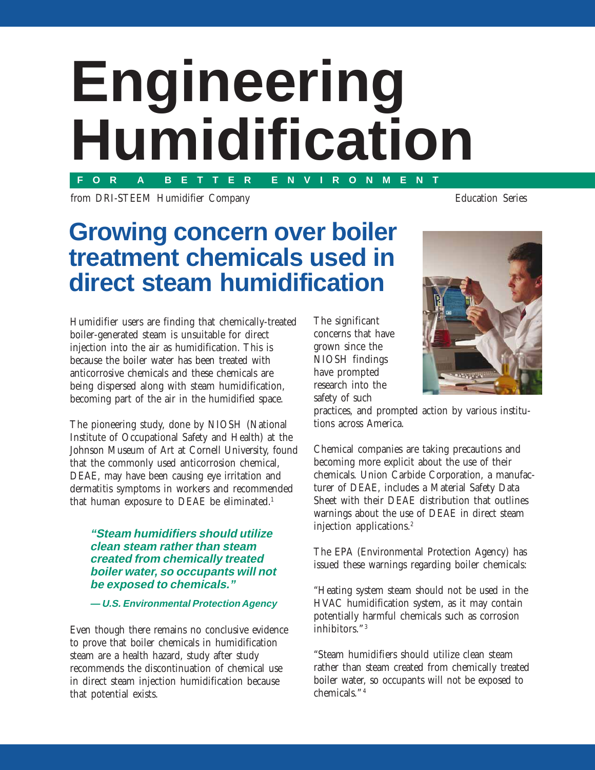# **Engineering Humidification FOR A BETTER ENVIRONMENT**

from DRI-STEEM Humidifier Company Education Series

## **Growing concern over boiler treatment chemicals used in direct steam humidification**

Humidifier users are finding that chemically-treated boiler-generated steam is unsuitable for direct injection into the air as humidification. This is because the boiler water has been treated with anticorrosive chemicals and these chemicals are being dispersed along with steam humidification, becoming part of the air in the humidified space.

The pioneering study, done by NIOSH (National Institute of Occupational Safety and Health) at the Johnson Museum of Art at Cornell University, found that the commonly used anticorrosion chemical, DEAE, may have been causing eye irritation and dermatitis symptoms in workers and recommended that human exposure to DEAE be eliminated.<sup>1</sup>

#### **"Steam humidifiers should utilize clean steam rather than steam created from chemically treated boiler water, so occupants will not be exposed to chemicals."**

#### **— U.S. Environmental Protection Agency**

Even though there remains no conclusive evidence to prove that boiler chemicals in humidification steam are a health hazard, study after study recommends the discontinuation of chemical use in direct steam injection humidification because that potential exists.

The significant concerns that have grown since the NIOSH findings have prompted research into the safety of such



practices, and prompted action by various institutions across America.

Chemical companies are taking precautions and becoming more explicit about the use of their chemicals. Union Carbide Corporation, a manufacturer of DEAE, includes a Material Safety Data Sheet with their DEAE distribution that outlines warnings about the use of DEAE in direct steam injection applications.2

The EPA (Environmental Protection Agency) has issued these warnings regarding boiler chemicals:

"Heating system steam should not be used in the HVAC humidification system, as it may contain potentially harmful chemicals such as corrosion inhibitors."<sup>3</sup>

"Steam humidifiers should utilize clean steam rather than steam created from chemically treated boiler water, so occupants will not be exposed to chemicals." 4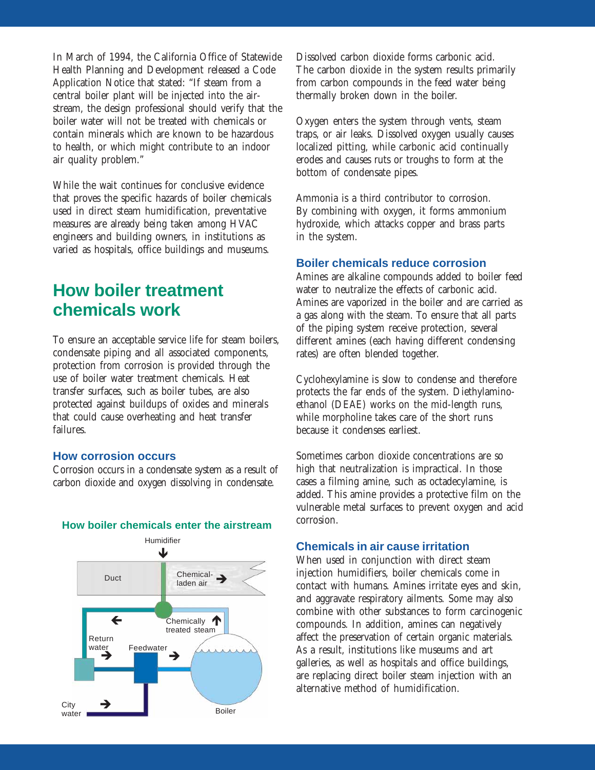In March of 1994, the California Office of Statewide Health Planning and Development released a Code Application Notice that stated: "If steam from a central boiler plant will be injected into the airstream, the design professional should verify that the boiler water will not be treated with chemicals or contain minerals which are known to be hazardous to health, or which might contribute to an indoor air quality problem."

While the wait continues for conclusive evidence that proves the specific hazards of boiler chemicals used in direct steam humidification, preventative measures are already being taken among HVAC engineers and building owners, in institutions as varied as hospitals, office buildings and museums.

## **How boiler treatment chemicals work**

To ensure an acceptable service life for steam boilers, condensate piping and all associated components, protection from corrosion is provided through the use of boiler water treatment chemicals. Heat transfer surfaces, such as boiler tubes, are also protected against buildups of oxides and minerals that could cause overheating and heat transfer failures.

#### **How corrosion occurs**

Corrosion occurs in a condensate system as a result of carbon dioxide and oxygen dissolving in condensate.



#### **How boiler chemicals enter the airstream**

Dissolved carbon dioxide forms carbonic acid. The carbon dioxide in the system results primarily from carbon compounds in the feed water being thermally broken down in the boiler.

Oxygen enters the system through vents, steam traps, or air leaks. Dissolved oxygen usually causes localized pitting, while carbonic acid continually erodes and causes ruts or troughs to form at the bottom of condensate pipes.

Ammonia is a third contributor to corrosion. By combining with oxygen, it forms ammonium hydroxide, which attacks copper and brass parts in the system.

#### **Boiler chemicals reduce corrosion**

Amines are alkaline compounds added to boiler feed water to neutralize the effects of carbonic acid. Amines are vaporized in the boiler and are carried as a gas along with the steam. To ensure that all parts of the piping system receive protection, several different amines (each having different condensing rates) are often blended together.

Cyclohexylamine is slow to condense and therefore protects the far ends of the system. Diethylaminoethanol (DEAE) works on the mid-length runs, while morpholine takes care of the short runs because it condenses earliest.

Sometimes carbon dioxide concentrations are so high that neutralization is impractical. In those cases a filming amine, such as octadecylamine, is added. This amine provides a protective film on the vulnerable metal surfaces to prevent oxygen and acid corrosion.

#### **Chemicals in air cause irritation**

When used in conjunction with direct steam injection humidifiers, boiler chemicals come in contact with humans. Amines irritate eyes and skin, and aggravate respiratory ailments. Some may also combine with other substances to form carcinogenic compounds. In addition, amines can negatively affect the preservation of certain organic materials. As a result, institutions like museums and art galleries, as well as hospitals and office buildings, are replacing direct boiler steam injection with an alternative method of humidification.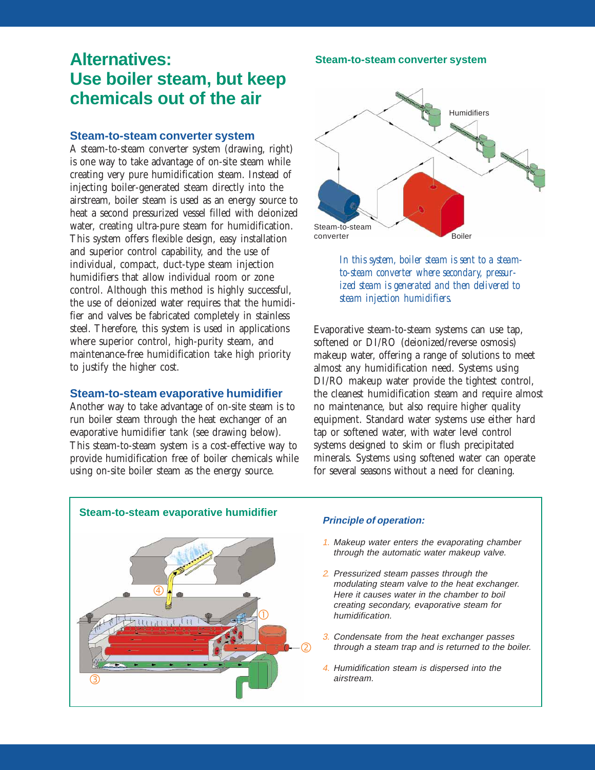## **Alternatives: Use boiler steam, but keep chemicals out of the air**

#### **Steam-to-steam converter system**

A steam-to-steam converter system (drawing, right) is one way to take advantage of on-site steam while creating very pure humidification steam. Instead of injecting boiler-generated steam directly into the airstream, boiler steam is used as an energy source to heat a second pressurized vessel filled with deionized water, creating ultra-pure steam for humidification. This system offers flexible design, easy installation and superior control capability, and the use of individual, compact, duct-type steam injection humidifiers that allow individual room or zone control. Although this method is highly successful, the use of deionized water requires that the humidifier and valves be fabricated completely in stainless steel. Therefore, this system is used in applications where superior control, high-purity steam, and maintenance-free humidification take high priority to justify the higher cost.

#### **Steam-to-steam evaporative humidifier**

Another way to take advantage of on-site steam is to run boiler steam through the heat exchanger of an evaporative humidifier tank (see drawing below). This steam-to-steam system is a cost-effective way to provide humidification free of boiler chemicals while using on-site boiler steam as the energy source.





*In this system, boiler steam is sent to a steamto-steam converter where secondary, pressurized steam is generated and then delivered to steam injection humidifiers.*

Evaporative steam-to-steam systems can use tap, softened or DI/RO (deionized/reverse osmosis) makeup water, offering a range of solutions to meet almost any humidification need. Systems using DI/RO makeup water provide the tightest control, the cleanest humidification steam and require almost no maintenance, but also require higher quality equipment. Standard water systems use either hard tap or softened water, with water level control systems designed to skim or flush precipitated minerals. Systems using softened water can operate for several seasons without a need for cleaning.



- 1. Makeup water enters the evaporating chamber through the automatic water makeup valve.
- 2. Pressurized steam passes through the modulating steam valve to the heat exchanger. Here it causes water in the chamber to boil creating secondary, evaporative steam for humidification.
- 3. Condensate from the heat exchanger passes through a steam trap and is returned to the boiler.
- 4. Humidification steam is dispersed into the airstream.